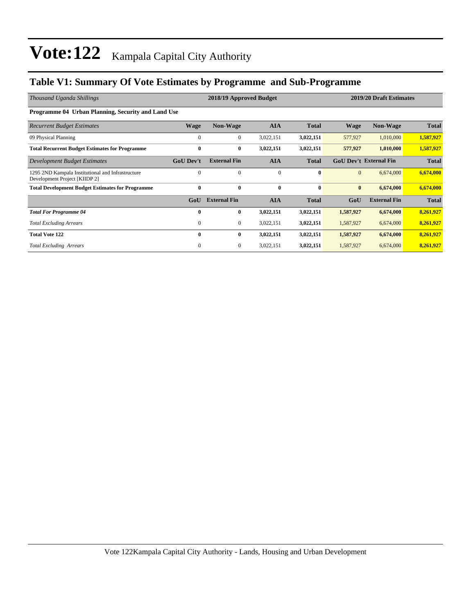### **Table V1: Summary Of Vote Estimates by Programme and Sub-Programme**

| Thousand Uganda Shillings                                                          | 2018/19 Approved Budget |                     |              |              |              | 2019/20 Draft Estimates       |              |  |  |  |
|------------------------------------------------------------------------------------|-------------------------|---------------------|--------------|--------------|--------------|-------------------------------|--------------|--|--|--|
| Programme 04 Urban Planning, Security and Land Use                                 |                         |                     |              |              |              |                               |              |  |  |  |
| <b>Recurrent Budget Estimates</b>                                                  | <b>Wage</b>             | <b>Non-Wage</b>     | <b>AIA</b>   | <b>Total</b> | <b>Wage</b>  | <b>Non-Wage</b>               | <b>Total</b> |  |  |  |
| 09 Physical Planning                                                               | $\mathbf{0}$            | $\overline{0}$      | 3,022,151    | 3,022,151    | 577,927      | 1,010,000                     | 1,587,927    |  |  |  |
| <b>Total Recurrent Budget Estimates for Programme</b>                              | $\mathbf{0}$            | $\bf{0}$            | 3,022,151    | 3,022,151    | 577,927      | 1,010,000                     | 1,587,927    |  |  |  |
| Development Budget Estimates                                                       | <b>GoU Dev't</b>        | <b>External Fin</b> | <b>AIA</b>   | <b>Total</b> |              | <b>GoU Dev't External Fin</b> | <b>Total</b> |  |  |  |
| 1295 2ND Kampala Institutional and Infrastructure<br>Development Project [KIIDP 2] | $\Omega$                | $\Omega$            | $\mathbf{0}$ | $\bf{0}$     | $\mathbf{0}$ | 6,674,000                     | 6,674,000    |  |  |  |
| <b>Total Development Budget Estimates for Programme</b>                            | $\bf{0}$                | $\bf{0}$            | $\bf{0}$     | $\bf{0}$     | $\bf{0}$     | 6,674,000                     | 6,674,000    |  |  |  |
|                                                                                    | GoU                     | <b>External Fin</b> | <b>AIA</b>   | <b>Total</b> | GoU          | <b>External Fin</b>           | <b>Total</b> |  |  |  |
| <b>Total For Programme 04</b>                                                      | $\mathbf{0}$            | $\bf{0}$            | 3,022,151    | 3,022,151    | 1,587,927    | 6,674,000                     | 8,261,927    |  |  |  |
| <b>Total Excluding Arrears</b>                                                     | $\mathbf{0}$            | 0                   | 3,022,151    | 3,022,151    | 1,587,927    | 6,674,000                     | 8,261,927    |  |  |  |
| <b>Total Vote 122</b>                                                              | $\bf{0}$                | 0                   | 3,022,151    | 3,022,151    | 1,587,927    | 6,674,000                     | 8,261,927    |  |  |  |
| <b>Total Excluding Arrears</b>                                                     | $\mathbf{0}$            | $\mathbf{0}$        | 3,022,151    | 3,022,151    | 1,587,927    | 6,674,000                     | 8,261,927    |  |  |  |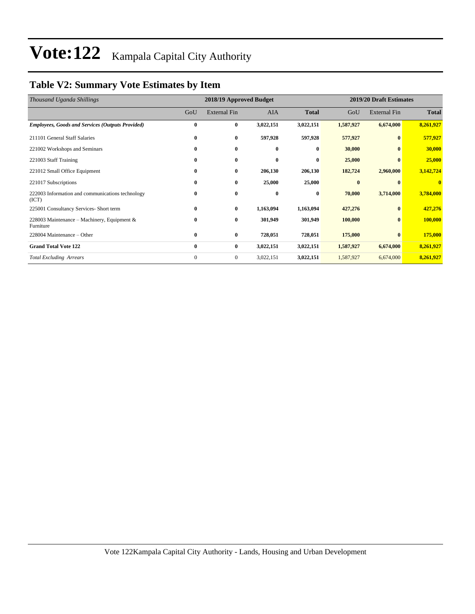### **Table V2: Summary Vote Estimates by Item**

| Thousand Uganda Shillings                                 |              | 2018/19 Approved Budget |           |              | 2019/20 Draft Estimates |                     |              |  |
|-----------------------------------------------------------|--------------|-------------------------|-----------|--------------|-------------------------|---------------------|--------------|--|
|                                                           | GoU          | <b>External Fin</b>     | AIA       | <b>Total</b> | GoU                     | <b>External Fin</b> | <b>Total</b> |  |
| <b>Employees, Goods and Services (Outputs Provided)</b>   | $\bf{0}$     | $\bf{0}$                | 3,022,151 | 3,022,151    | 1,587,927               | 6,674,000           | 8,261,927    |  |
| 211101 General Staff Salaries                             | $\bf{0}$     | $\bf{0}$                | 597,928   | 597,928      | 577,927                 | $\bf{0}$            | 577,927      |  |
| 221002 Workshops and Seminars                             | $\bf{0}$     | $\bf{0}$                | $\bf{0}$  | $\bf{0}$     | 30,000                  | $\mathbf{0}$        | 30,000       |  |
| 221003 Staff Training                                     | $\bf{0}$     | $\bf{0}$                | $\bf{0}$  | $\bf{0}$     | 25,000                  | $\bf{0}$            | 25,000       |  |
| 221012 Small Office Equipment                             | $\bf{0}$     | $\bf{0}$                | 206,130   | 206,130      | 182,724                 | 2,960,000           | 3,142,724    |  |
| 221017 Subscriptions                                      | $\bf{0}$     | 0                       | 25,000    | 25,000       | $\bf{0}$                | $\mathbf{0}$        | $\mathbf{0}$ |  |
| 222003 Information and communications technology<br>(ICT) | 0            | $\bf{0}$                | $\bf{0}$  | $\bf{0}$     | 70,000                  | 3,714,000           | 3,784,000    |  |
| 225001 Consultancy Services- Short term                   | $\bf{0}$     | $\bf{0}$                | 1,163,094 | 1,163,094    | 427,276                 | $\mathbf{0}$        | 427,276      |  |
| 228003 Maintenance – Machinery, Equipment &<br>Furniture  | $\bf{0}$     | $\bf{0}$                | 301,949   | 301,949      | 100,000                 | $\bf{0}$            | 100,000      |  |
| 228004 Maintenance – Other                                | $\bf{0}$     | $\bf{0}$                | 728,051   | 728,051      | 175,000                 | $\mathbf{0}$        | 175,000      |  |
| <b>Grand Total Vote 122</b>                               | $\bf{0}$     | $\bf{0}$                | 3,022,151 | 3,022,151    | 1,587,927               | 6,674,000           | 8,261,927    |  |
| <b>Total Excluding Arrears</b>                            | $\mathbf{0}$ | $\overline{0}$          | 3,022,151 | 3,022,151    | 1,587,927               | 6,674,000           | 8,261,927    |  |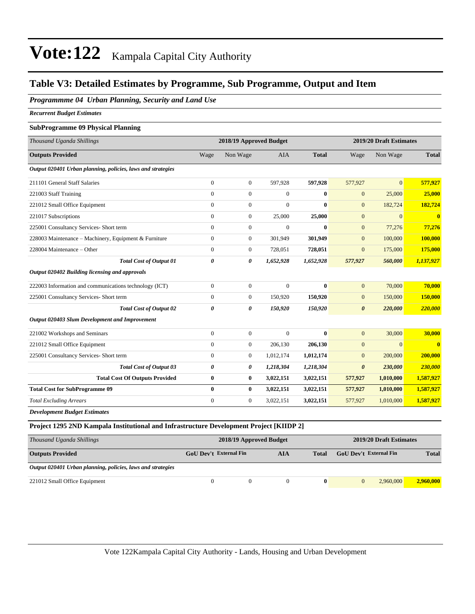### **Table V3: Detailed Estimates by Programme, Sub Programme, Output and Item**

#### *Programmme 04 Urban Planning, Security and Land Use*

*Recurrent Budget Estimates*

#### **SubProgramme 09 Physical Planning**

| Thousand Uganda Shillings                                   | 2018/19 Approved Budget |                  |              |              | 2019/20 Draft Estimates |                |                         |  |
|-------------------------------------------------------------|-------------------------|------------------|--------------|--------------|-------------------------|----------------|-------------------------|--|
| <b>Outputs Provided</b>                                     | Wage                    | Non Wage         | <b>AIA</b>   | <b>Total</b> | Wage                    | Non Wage       | <b>Total</b>            |  |
| Output 020401 Urban planning, policies, laws and strategies |                         |                  |              |              |                         |                |                         |  |
| 211101 General Staff Salaries                               | $\overline{0}$          | $\boldsymbol{0}$ | 597,928      | 597,928      | 577,927                 | $\overline{0}$ | 577,927                 |  |
| 221003 Staff Training                                       | $\overline{0}$          | $\boldsymbol{0}$ | $\mathbf{0}$ | $\bf{0}$     | $\mathbf{0}$            | 25,000         | 25,000                  |  |
| 221012 Small Office Equipment                               | $\overline{0}$          | $\boldsymbol{0}$ | $\mathbf{0}$ | $\bf{0}$     | $\mathbf{0}$            | 182,724        | 182,724                 |  |
| 221017 Subscriptions                                        | $\overline{0}$          | $\boldsymbol{0}$ | 25,000       | 25,000       | $\mathbf{0}$            | $\mathbf{0}$   | $\overline{\mathbf{0}}$ |  |
| 225001 Consultancy Services- Short term                     | $\overline{0}$          | $\boldsymbol{0}$ | $\mathbf{0}$ | $\mathbf{0}$ | $\mathbf{0}$            | 77,276         | 77,276                  |  |
| 228003 Maintenance - Machinery, Equipment & Furniture       | $\mathbf{0}$            | $\boldsymbol{0}$ | 301,949      | 301,949      | $\mathbf{0}$            | 100,000        | 100,000                 |  |
| 228004 Maintenance - Other                                  | $\overline{0}$          | $\boldsymbol{0}$ | 728,051      | 728,051      | $\mathbf{0}$            | 175,000        | 175,000                 |  |
| <b>Total Cost of Output 01</b>                              | 0                       | 0                | 1,652,928    | 1,652,928    | 577,927                 | 560,000        | 1,137,927               |  |
| Output 020402 Building licensing and approvals              |                         |                  |              |              |                         |                |                         |  |
| 222003 Information and communications technology (ICT)      | $\overline{0}$          | $\overline{0}$   | $\Omega$     | $\bf{0}$     | $\mathbf{0}$            | 70,000         | 70,000                  |  |
| 225001 Consultancy Services- Short term                     | $\overline{0}$          | $\boldsymbol{0}$ | 150,920      | 150,920      | $\mathbf{0}$            | 150,000        | 150,000                 |  |
| <b>Total Cost of Output 02</b>                              | 0                       | 0                | 150,920      | 150,920      | $\boldsymbol{\theta}$   | 220,000        | 220,000                 |  |
| Output 020403 Slum Development and Improvement              |                         |                  |              |              |                         |                |                         |  |
| 221002 Workshops and Seminars                               | $\overline{0}$          | $\boldsymbol{0}$ | $\mathbf{0}$ | $\bf{0}$     | $\mathbf{0}$            | 30,000         | 30,000                  |  |
| 221012 Small Office Equipment                               | $\overline{0}$          | $\boldsymbol{0}$ | 206,130      | 206,130      | $\mathbf{0}$            | $\overline{0}$ | $\overline{\mathbf{0}}$ |  |
| 225001 Consultancy Services- Short term                     | $\overline{0}$          | $\boldsymbol{0}$ | 1,012,174    | 1,012,174    | $\mathbf{0}$            | 200,000        | 200,000                 |  |
| <b>Total Cost of Output 03</b>                              | 0                       | 0                | 1,218,304    | 1,218,304    | $\boldsymbol{\theta}$   | 230,000        | 230,000                 |  |
| <b>Total Cost Of Outputs Provided</b>                       | $\bf{0}$                | $\bf{0}$         | 3,022,151    | 3,022,151    | 577,927                 | 1,010,000      | 1,587,927               |  |
| <b>Total Cost for SubProgramme 09</b>                       | $\bf{0}$                | $\bf{0}$         | 3,022,151    | 3,022,151    | 577,927                 | 1,010,000      | 1,587,927               |  |
| <b>Total Excluding Arrears</b>                              | $\overline{0}$          | $\boldsymbol{0}$ | 3,022,151    | 3,022,151    | 577,927                 | 1,010,000      | 1,587,927               |  |
| <b>Development Budget Estimates</b>                         |                         |                  |              |              |                         |                |                         |  |

#### **Project 1295 2ND Kampala Institutional and Infrastructure Development Project [KIIDP 2]**

| Thousand Uganda Shillings                                   |                               | 2018/19 Approved Budget | 2019/20 Draft Estimates |              |                               |           |           |
|-------------------------------------------------------------|-------------------------------|-------------------------|-------------------------|--------------|-------------------------------|-----------|-----------|
| <b>Outputs Provided</b>                                     | GoU Dev't External Fin<br>AIA |                         |                         | <b>Total</b> | <b>GoU</b> Dev't External Fin |           |           |
| Output 020401 Urban planning, policies, laws and strategies |                               |                         |                         |              |                               |           |           |
| 221012 Small Office Equipment                               | $\Omega$                      |                         |                         | $\mathbf{0}$ | $\theta$                      | 2.960,000 | 2,960,000 |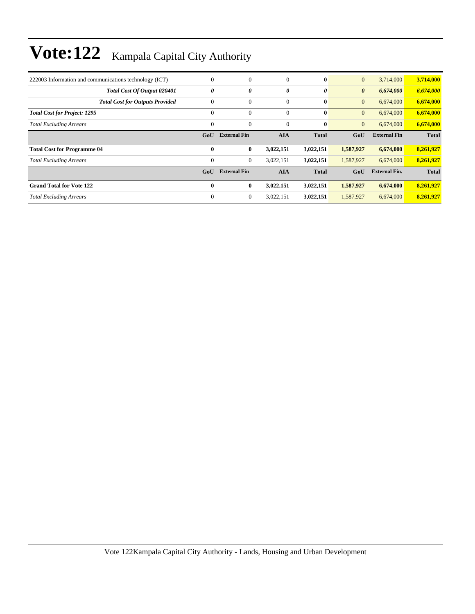| 222003 Information and communications technology (ICT) | $\theta$       | $\boldsymbol{0}$    | $\mathbf{0}$          | $\mathbf{0}$ | $\mathbf{0}$          | 3,714,000            | 3,714,000    |
|--------------------------------------------------------|----------------|---------------------|-----------------------|--------------|-----------------------|----------------------|--------------|
| <b>Total Cost Of Output 020401</b>                     | 0              | 0                   | $\boldsymbol{\theta}$ | 0            | $\boldsymbol{\theta}$ | 6,674,000            | 6,674,000    |
| <b>Total Cost for Outputs Provided</b>                 | $\overline{0}$ | $\boldsymbol{0}$    | $\mathbf{0}$          | $\bf{0}$     | $\mathbf{0}$          | 6,674,000            | 6,674,000    |
| <b>Total Cost for Project: 1295</b>                    | $\mathbf{0}$   | $\mathbf{0}$        | $\mathbf{0}$          | $\bf{0}$     | $\mathbf{0}$          | 6,674,000            | 6,674,000    |
| <b>Total Excluding Arrears</b>                         | $\theta$       | $\mathbf{0}$        | $\mathbf{0}$          | $\bf{0}$     | $\mathbf{0}$          | 6,674,000            | 6,674,000    |
|                                                        | GoU            | <b>External Fin</b> | <b>AIA</b>            | <b>Total</b> | GoU                   | <b>External Fin</b>  | <b>Total</b> |
|                                                        |                |                     |                       |              |                       |                      |              |
| <b>Total Cost for Programme 04</b>                     | $\bf{0}$       | $\bf{0}$            | 3,022,151             | 3,022,151    | 1,587,927             | 6,674,000            | 8,261,927    |
| <b>Total Excluding Arrears</b>                         | $\mathbf{0}$   | $\boldsymbol{0}$    | 3,022,151             | 3,022,151    | 1,587,927             | 6,674,000            | 8,261,927    |
|                                                        | GoU            | <b>External Fin</b> | <b>AIA</b>            | <b>Total</b> | GoU                   | <b>External Fin.</b> | <b>Total</b> |
| <b>Grand Total for Vote 122</b>                        | $\mathbf{0}$   | $\bf{0}$            | 3,022,151             | 3,022,151    | 1,587,927             | 6,674,000            | 8,261,927    |